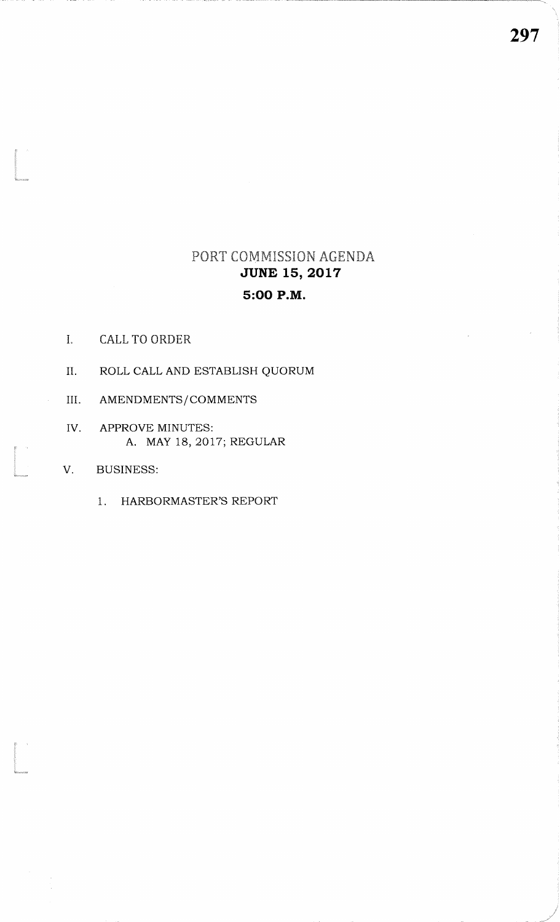# PORT COMMISSION AGENDA**JUNE 15, 2017** 5:OO P.M.

I. CALL TO ORDER

the company of the company of the company of the company of the company of the company of the company of the company of the company of the company of the company of the company of the company of the company of the company

ti<br>Kanaana

- II. ROLL CALL AND ESTABLISH QUORUM
- III. AMENDMENTS/COMMENTS
- APPROVE MINUTES: A. MAY 18,2017; REGULARIV
- V. BUSINESS:
	- 1. HARBORMASTER'S REPORT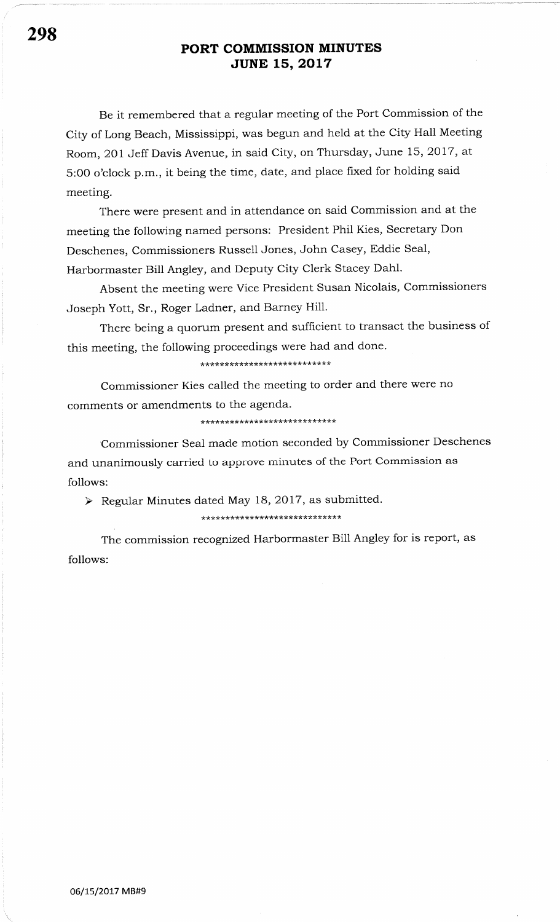Be it remembered that a regular meeting of the Port Commission of the City of Long Beach, Mississippi, was begun and held at the City Hall Meeting Room, 201 Jeff Davis Avenue, in said City, on Thursday, June 15, 2017, at 5:00 o'clock p.m., it being the time, date, and place fixed for holding said meeting.

There were present and in attendance on said Commission and at the meeting the following named persons: President Phil Kies, Secretary Don Deschenes, Commissioners Russell Jones, John Casey, Eddie Seal, Harbormaster Bill Angley, and Deputy City Clerk Stacey Dahl.

Absent the meeting were Vice President Susan Nicolais, Commissioners Joseph Yott, Sr., Roger Ladner, and Barney Hill.

There being a quorum present and sufficient to transact the business of this meeting, the following proceedings were had and done.

\*\*\*\*\*\*\*\*\*\*\*\*\*\*\*\*\*\*\*\*\*\*\*\*\*\*\*

Commissioner Kies called the meeting to order and there were no comments or amendments to the agenda.

\*\*\*\*\*\*\*\*\*\*\*\*\*\*\*\*\*\*\*\*\*\*\*\*\*\*\*\*

Commissioner Seal made motion seconded by Commissioner Deschenes and unanimously carried to approve minutes of the Port Commission as follows:

 $\triangleright$  Regular Minutes dated May 18, 2017, as submitted.

\*\*\*\*\*\*\*\*\*\*\*\*\*\*\*\*\*\*\*\*\*\*\*\*\*\*\*\*\*

The commission recognized Harbormaster Bill Angley for is report, as follows: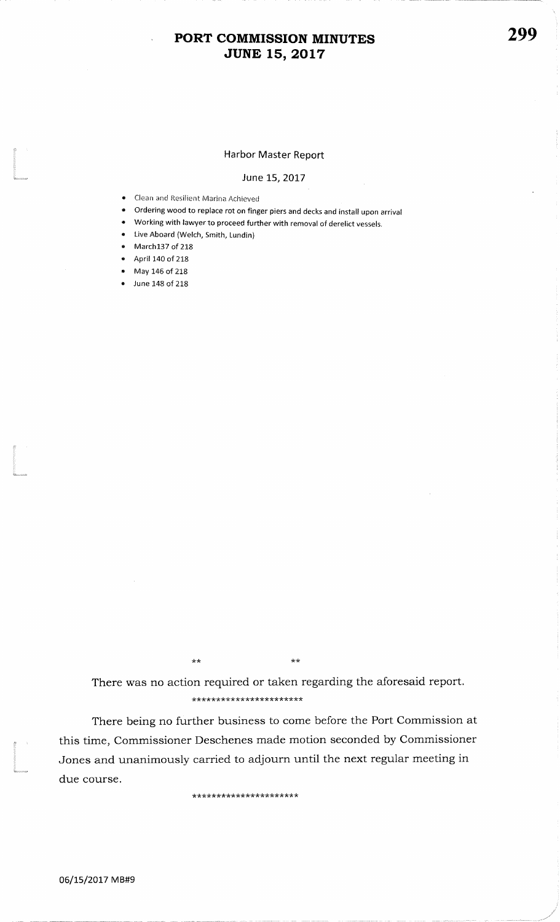## PORT COMMISSION MINUTES **JUNE 15, 2017**

### Harbor Master Report

#### June 15, 2017

- Clean and Resilient Marina Achieved
- Ordering wood to replace rot on finger piers and decks and install upon arrival
- Working with lawyer to proceed further with removal of derelict vessels.
- Live Aboard (Welch, Smith, Lundin)
- March137 of 218
- April 140 of 218
- May 146 of 218
- June 148 of 218

 $\star\star$ 

There was no action required or taken regarding the aforesaid report.

\*\*\*\*\*\*\*\*\*\*\*\*\*\*\*\*\*\*\*\*\*\*\*

 $\star\star$ 

There being no further business to come before the Port Commission at this time, Commissioner Deschenes made motion seconded by Commissioner Jones and unanimously carried to adjourn until the next regular meeting in due course.

\*\*\*\*\*\*\*\*\*\*\*\*\*\*\*\*\*\*\*\*\*\*\*